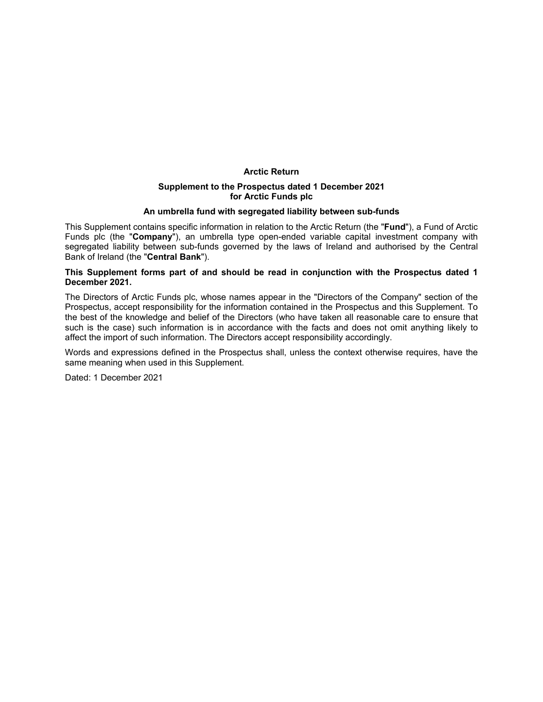## **Arctic Return**

### **Supplement to the Prospectus dated 1 December 2021 for Arctic Funds plc**

### **An umbrella fund with segregated liability between sub-funds**

This Supplement contains specific information in relation to the Arctic Return (the "**Fund**"), a Fund of Arctic Funds plc (the "**Company**"), an umbrella type open-ended variable capital investment company with segregated liability between sub-funds governed by the laws of Ireland and authorised by the Central Bank of Ireland (the "**Central Bank**").

## **This Supplement forms part of and should be read in conjunction with the Prospectus dated 1 December 2021.**

The Directors of Arctic Funds plc, whose names appear in the "Directors of the Company" section of the Prospectus, accept responsibility for the information contained in the Prospectus and this Supplement. To the best of the knowledge and belief of the Directors (who have taken all reasonable care to ensure that such is the case) such information is in accordance with the facts and does not omit anything likely to affect the import of such information. The Directors accept responsibility accordingly.

Words and expressions defined in the Prospectus shall, unless the context otherwise requires, have the same meaning when used in this Supplement.

Dated: 1 December 2021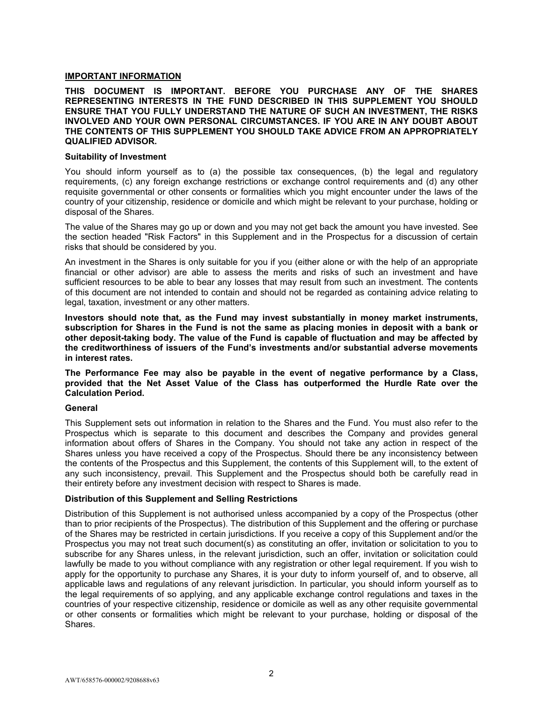# **IMPORTANT INFORMATION**

## **THIS DOCUMENT IS IMPORTANT. BEFORE YOU PURCHASE ANY OF THE SHARES REPRESENTING INTERESTS IN THE FUND DESCRIBED IN THIS SUPPLEMENT YOU SHOULD ENSURE THAT YOU FULLY UNDERSTAND THE NATURE OF SUCH AN INVESTMENT, THE RISKS INVOLVED AND YOUR OWN PERSONAL CIRCUMSTANCES. IF YOU ARE IN ANY DOUBT ABOUT THE CONTENTS OF THIS SUPPLEMENT YOU SHOULD TAKE ADVICE FROM AN APPROPRIATELY QUALIFIED ADVISOR.**

## **Suitability of Investment**

You should inform yourself as to (a) the possible tax consequences, (b) the legal and regulatory requirements, (c) any foreign exchange restrictions or exchange control requirements and (d) any other requisite governmental or other consents or formalities which you might encounter under the laws of the country of your citizenship, residence or domicile and which might be relevant to your purchase, holding or disposal of the Shares.

The value of the Shares may go up or down and you may not get back the amount you have invested. See the section headed "Risk Factors" in this Supplement and in the Prospectus for a discussion of certain risks that should be considered by you.

An investment in the Shares is only suitable for you if you (either alone or with the help of an appropriate financial or other advisor) are able to assess the merits and risks of such an investment and have sufficient resources to be able to bear any losses that may result from such an investment. The contents of this document are not intended to contain and should not be regarded as containing advice relating to legal, taxation, investment or any other matters.

**Investors should note that, as the Fund may invest substantially in money market instruments, subscription for Shares in the Fund is not the same as placing monies in deposit with a bank or other deposit-taking body. The value of the Fund is capable of fluctuation and may be affected by the creditworthiness of issuers of the Fund's investments and/or substantial adverse movements in interest rates.** 

**The Performance Fee may also be payable in the event of negative performance by a Class, provided that the Net Asset Value of the Class has outperformed the Hurdle Rate over the Calculation Period.** 

## **General**

This Supplement sets out information in relation to the Shares and the Fund. You must also refer to the Prospectus which is separate to this document and describes the Company and provides general information about offers of Shares in the Company. You should not take any action in respect of the Shares unless you have received a copy of the Prospectus. Should there be any inconsistency between the contents of the Prospectus and this Supplement, the contents of this Supplement will, to the extent of any such inconsistency, prevail. This Supplement and the Prospectus should both be carefully read in their entirety before any investment decision with respect to Shares is made.

## **Distribution of this Supplement and Selling Restrictions**

Distribution of this Supplement is not authorised unless accompanied by a copy of the Prospectus (other than to prior recipients of the Prospectus). The distribution of this Supplement and the offering or purchase of the Shares may be restricted in certain jurisdictions. If you receive a copy of this Supplement and/or the Prospectus you may not treat such document(s) as constituting an offer, invitation or solicitation to you to subscribe for any Shares unless, in the relevant jurisdiction, such an offer, invitation or solicitation could lawfully be made to you without compliance with any registration or other legal requirement. If you wish to apply for the opportunity to purchase any Shares, it is your duty to inform yourself of, and to observe, all applicable laws and regulations of any relevant jurisdiction. In particular, you should inform yourself as to the legal requirements of so applying, and any applicable exchange control regulations and taxes in the countries of your respective citizenship, residence or domicile as well as any other requisite governmental or other consents or formalities which might be relevant to your purchase, holding or disposal of the Shares.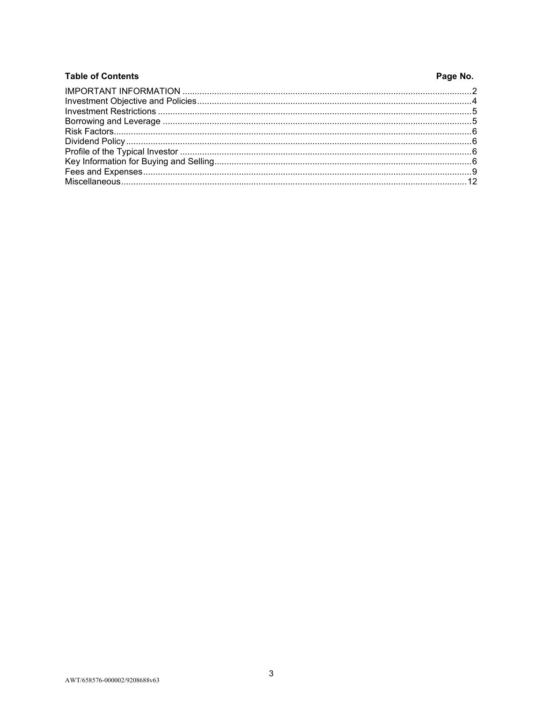| <b>Table of Contents</b> | Page No. |
|--------------------------|----------|
|                          |          |
|                          |          |
|                          |          |
|                          |          |
|                          |          |
|                          |          |
|                          |          |
|                          |          |
|                          |          |
|                          |          |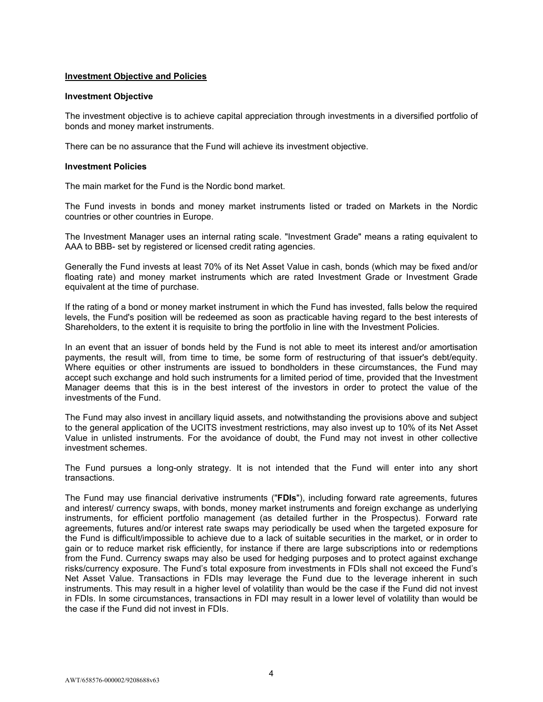## **Investment Objective and Policies**

#### **Investment Objective**

The investment objective is to achieve capital appreciation through investments in a diversified portfolio of bonds and money market instruments.

There can be no assurance that the Fund will achieve its investment objective.

### **Investment Policies**

The main market for the Fund is the Nordic bond market.

The Fund invests in bonds and money market instruments listed or traded on Markets in the Nordic countries or other countries in Europe.

The Investment Manager uses an internal rating scale. "Investment Grade" means a rating equivalent to AAA to BBB- set by registered or licensed credit rating agencies.

Generally the Fund invests at least 70% of its Net Asset Value in cash, bonds (which may be fixed and/or floating rate) and money market instruments which are rated Investment Grade or Investment Grade equivalent at the time of purchase.

If the rating of a bond or money market instrument in which the Fund has invested, falls below the required levels, the Fund's position will be redeemed as soon as practicable having regard to the best interests of Shareholders, to the extent it is requisite to bring the portfolio in line with the Investment Policies.

In an event that an issuer of bonds held by the Fund is not able to meet its interest and/or amortisation payments, the result will, from time to time, be some form of restructuring of that issuer's debt/equity. Where equities or other instruments are issued to bondholders in these circumstances, the Fund may accept such exchange and hold such instruments for a limited period of time, provided that the Investment Manager deems that this is in the best interest of the investors in order to protect the value of the investments of the Fund.

The Fund may also invest in ancillary liquid assets, and notwithstanding the provisions above and subject to the general application of the UCITS investment restrictions, may also invest up to 10% of its Net Asset Value in unlisted instruments. For the avoidance of doubt, the Fund may not invest in other collective investment schemes.

The Fund pursues a long-only strategy. It is not intended that the Fund will enter into any short transactions.

The Fund may use financial derivative instruments ("**FDIs**"), including forward rate agreements, futures and interest/ currency swaps, with bonds, money market instruments and foreign exchange as underlying instruments, for efficient portfolio management (as detailed further in the Prospectus). Forward rate agreements, futures and/or interest rate swaps may periodically be used when the targeted exposure for the Fund is difficult/impossible to achieve due to a lack of suitable securities in the market, or in order to gain or to reduce market risk efficiently, for instance if there are large subscriptions into or redemptions from the Fund. Currency swaps may also be used for hedging purposes and to protect against exchange risks/currency exposure. The Fund's total exposure from investments in FDIs shall not exceed the Fund's Net Asset Value. Transactions in FDIs may leverage the Fund due to the leverage inherent in such instruments. This may result in a higher level of volatility than would be the case if the Fund did not invest in FDIs. In some circumstances, transactions in FDI may result in a lower level of volatility than would be the case if the Fund did not invest in FDIs.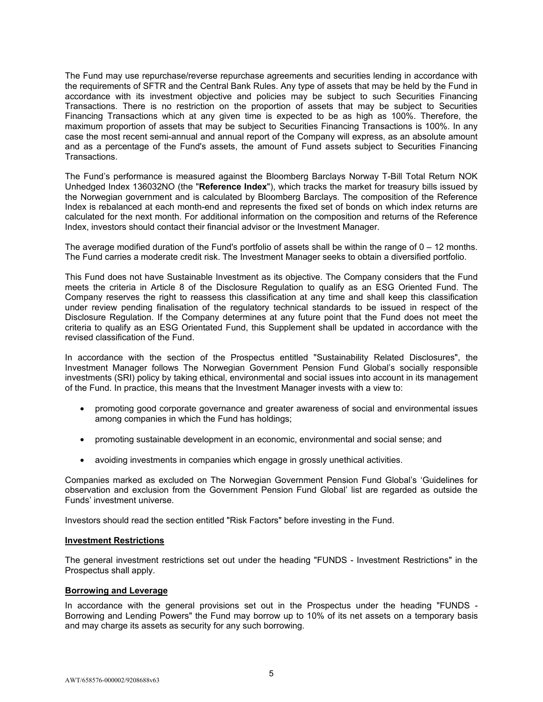The Fund may use repurchase/reverse repurchase agreements and securities lending in accordance with the requirements of SFTR and the Central Bank Rules. Any type of assets that may be held by the Fund in accordance with its investment objective and policies may be subject to such Securities Financing Transactions. There is no restriction on the proportion of assets that may be subject to Securities Financing Transactions which at any given time is expected to be as high as 100%. Therefore, the maximum proportion of assets that may be subject to Securities Financing Transactions is 100%. In any case the most recent semi-annual and annual report of the Company will express, as an absolute amount and as a percentage of the Fund's assets, the amount of Fund assets subject to Securities Financing Transactions.

The Fund's performance is measured against the Bloomberg Barclays Norway T-Bill Total Return NOK Unhedged Index 136032NO (the "**Reference Index**"), which tracks the market for treasury bills issued by the Norwegian government and is calculated by Bloomberg Barclays. The composition of the Reference Index is rebalanced at each month-end and represents the fixed set of bonds on which index returns are calculated for the next month. For additional information on the composition and returns of the Reference Index, investors should contact their financial advisor or the Investment Manager.

The average modified duration of the Fund's portfolio of assets shall be within the range of  $0 - 12$  months. The Fund carries a moderate credit risk. The Investment Manager seeks to obtain a diversified portfolio.

This Fund does not have Sustainable Investment as its objective. The Company considers that the Fund meets the criteria in Article 8 of the Disclosure Regulation to qualify as an ESG Oriented Fund. The Company reserves the right to reassess this classification at any time and shall keep this classification under review pending finalisation of the regulatory technical standards to be issued in respect of the Disclosure Regulation. If the Company determines at any future point that the Fund does not meet the criteria to qualify as an ESG Orientated Fund, this Supplement shall be updated in accordance with the revised classification of the Fund.

In accordance with the section of the Prospectus entitled "Sustainability Related Disclosures", the Investment Manager follows The Norwegian Government Pension Fund Global's socially responsible investments (SRI) policy by taking ethical, environmental and social issues into account in its management of the Fund. In practice, this means that the Investment Manager invests with a view to:

- promoting good corporate governance and greater awareness of social and environmental issues among companies in which the Fund has holdings;
- promoting sustainable development in an economic, environmental and social sense; and
- avoiding investments in companies which engage in grossly unethical activities.

Companies marked as excluded on The Norwegian Government Pension Fund Global's 'Guidelines for observation and exclusion from the Government Pension Fund Global' list are regarded as outside the Funds' investment universe.

Investors should read the section entitled "Risk Factors" before investing in the Fund.

## **Investment Restrictions**

The general investment restrictions set out under the heading "FUNDS - Investment Restrictions" in the Prospectus shall apply.

### **Borrowing and Leverage**

In accordance with the general provisions set out in the Prospectus under the heading "FUNDS - Borrowing and Lending Powers" the Fund may borrow up to 10% of its net assets on a temporary basis and may charge its assets as security for any such borrowing.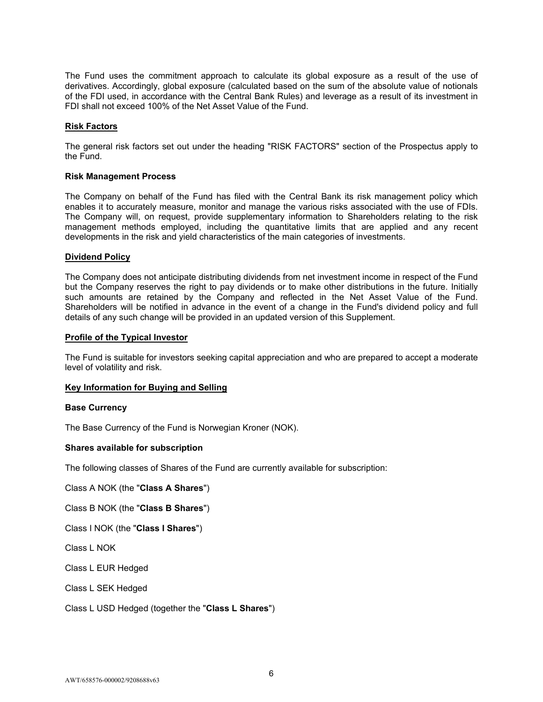The Fund uses the commitment approach to calculate its global exposure as a result of the use of derivatives. Accordingly, global exposure (calculated based on the sum of the absolute value of notionals of the FDI used, in accordance with the Central Bank Rules) and leverage as a result of its investment in FDI shall not exceed 100% of the Net Asset Value of the Fund.

# **Risk Factors**

The general risk factors set out under the heading "RISK FACTORS" section of the Prospectus apply to the Fund.

## **Risk Management Process**

The Company on behalf of the Fund has filed with the Central Bank its risk management policy which enables it to accurately measure, monitor and manage the various risks associated with the use of FDIs. The Company will, on request, provide supplementary information to Shareholders relating to the risk management methods employed, including the quantitative limits that are applied and any recent developments in the risk and yield characteristics of the main categories of investments.

## **Dividend Policy**

The Company does not anticipate distributing dividends from net investment income in respect of the Fund but the Company reserves the right to pay dividends or to make other distributions in the future. Initially such amounts are retained by the Company and reflected in the Net Asset Value of the Fund. Shareholders will be notified in advance in the event of a change in the Fund's dividend policy and full details of any such change will be provided in an updated version of this Supplement.

## **Profile of the Typical Investor**

The Fund is suitable for investors seeking capital appreciation and who are prepared to accept a moderate level of volatility and risk.

## **Key Information for Buying and Selling**

### **Base Currency**

The Base Currency of the Fund is Norwegian Kroner (NOK).

## **Shares available for subscription**

The following classes of Shares of the Fund are currently available for subscription:

Class A NOK (the "**Class A Shares**")

Class B NOK (the "**Class B Shares**")

Class I NOK (the "**Class I Shares**")

Class L NOK

Class L EUR Hedged

Class L SEK Hedged

Class L USD Hedged (together the "**Class L Shares**")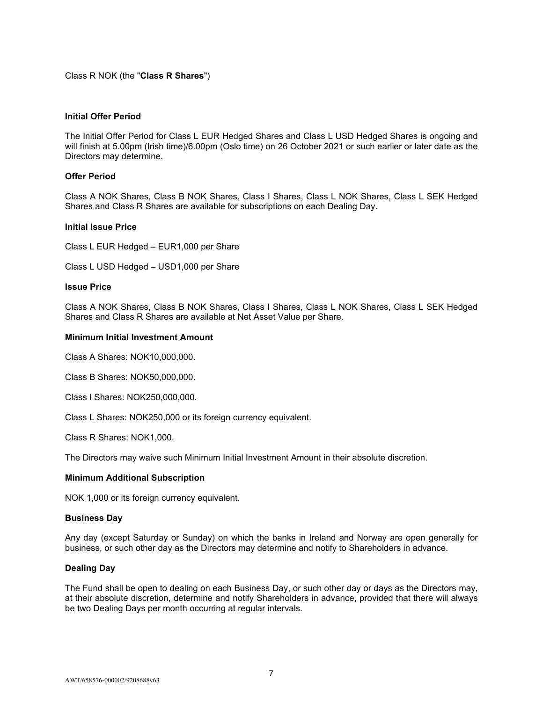# Class R NOK (the "**Class R Shares**")

## **Initial Offer Period**

The Initial Offer Period for Class L EUR Hedged Shares and Class L USD Hedged Shares is ongoing and will finish at 5.00pm (Irish time)/6.00pm (Oslo time) on 26 October 2021 or such earlier or later date as the Directors may determine.

## **Offer Period**

Class A NOK Shares, Class B NOK Shares, Class I Shares, Class L NOK Shares, Class L SEK Hedged Shares and Class R Shares are available for subscriptions on each Dealing Day.

### **Initial Issue Price**

Class L EUR Hedged – EUR1,000 per Share

Class L USD Hedged – USD1,000 per Share

### **Issue Price**

Class A NOK Shares, Class B NOK Shares, Class I Shares, Class L NOK Shares, Class L SEK Hedged Shares and Class R Shares are available at Net Asset Value per Share.

## **Minimum Initial Investment Amount**

Class A Shares: NOK10,000,000.

Class B Shares: NOK50,000,000.

Class I Shares: NOK250,000,000.

Class L Shares: NOK250,000 or its foreign currency equivalent.

Class R Shares: NOK1,000.

The Directors may waive such Minimum Initial Investment Amount in their absolute discretion.

### **Minimum Additional Subscription**

NOK 1,000 or its foreign currency equivalent.

### **Business Day**

Any day (except Saturday or Sunday) on which the banks in Ireland and Norway are open generally for business, or such other day as the Directors may determine and notify to Shareholders in advance.

## **Dealing Day**

The Fund shall be open to dealing on each Business Day, or such other day or days as the Directors may, at their absolute discretion, determine and notify Shareholders in advance, provided that there will always be two Dealing Days per month occurring at regular intervals.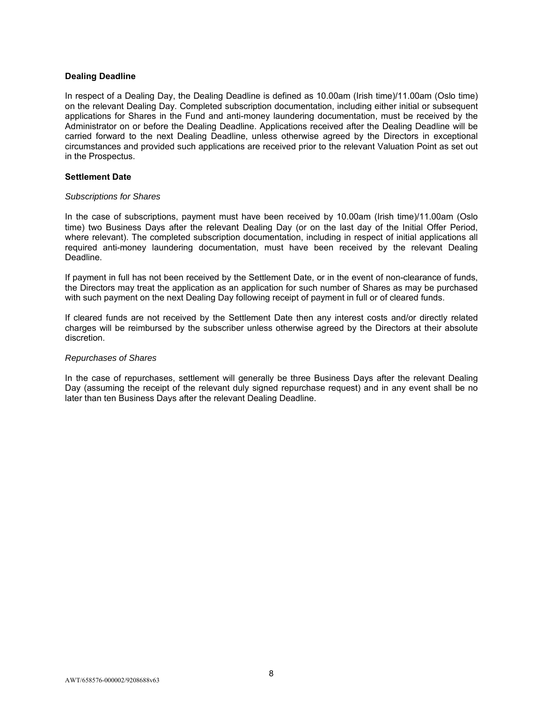## **Dealing Deadline**

In respect of a Dealing Day, the Dealing Deadline is defined as 10.00am (Irish time)/11.00am (Oslo time) on the relevant Dealing Day. Completed subscription documentation, including either initial or subsequent applications for Shares in the Fund and anti-money laundering documentation, must be received by the Administrator on or before the Dealing Deadline. Applications received after the Dealing Deadline will be carried forward to the next Dealing Deadline, unless otherwise agreed by the Directors in exceptional circumstances and provided such applications are received prior to the relevant Valuation Point as set out in the Prospectus.

### **Settlement Date**

### *Subscriptions for Shares*

In the case of subscriptions, payment must have been received by 10.00am (Irish time)/11.00am (Oslo time) two Business Days after the relevant Dealing Day (or on the last day of the Initial Offer Period, where relevant). The completed subscription documentation, including in respect of initial applications all required anti-money laundering documentation, must have been received by the relevant Dealing Deadline.

If payment in full has not been received by the Settlement Date, or in the event of non-clearance of funds, the Directors may treat the application as an application for such number of Shares as may be purchased with such payment on the next Dealing Day following receipt of payment in full or of cleared funds.

If cleared funds are not received by the Settlement Date then any interest costs and/or directly related charges will be reimbursed by the subscriber unless otherwise agreed by the Directors at their absolute discretion.

## *Repurchases of Shares*

In the case of repurchases, settlement will generally be three Business Days after the relevant Dealing Day (assuming the receipt of the relevant duly signed repurchase request) and in any event shall be no later than ten Business Days after the relevant Dealing Deadline.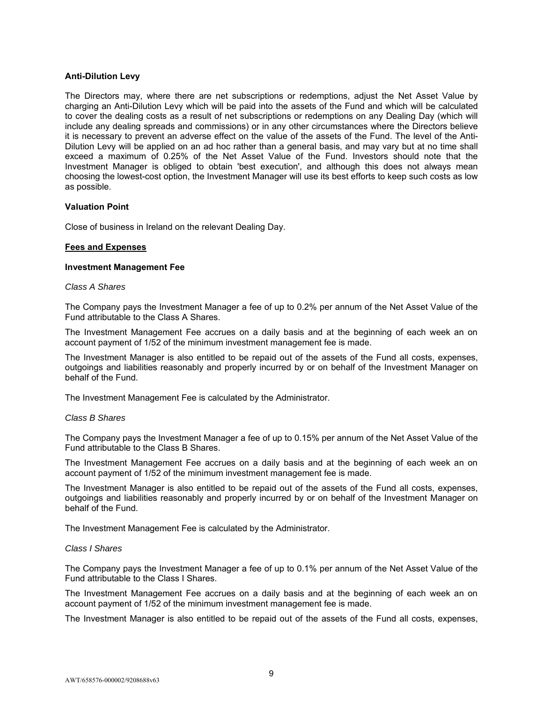# **Anti-Dilution Levy**

The Directors may, where there are net subscriptions or redemptions, adjust the Net Asset Value by charging an Anti-Dilution Levy which will be paid into the assets of the Fund and which will be calculated to cover the dealing costs as a result of net subscriptions or redemptions on any Dealing Day (which will include any dealing spreads and commissions) or in any other circumstances where the Directors believe it is necessary to prevent an adverse effect on the value of the assets of the Fund. The level of the Anti-Dilution Levy will be applied on an ad hoc rather than a general basis, and may vary but at no time shall exceed a maximum of 0.25% of the Net Asset Value of the Fund. Investors should note that the Investment Manager is obliged to obtain 'best execution', and although this does not always mean choosing the lowest-cost option, the Investment Manager will use its best efforts to keep such costs as low as possible.

## **Valuation Point**

Close of business in Ireland on the relevant Dealing Day.

## **Fees and Expenses**

### **Investment Management Fee**

### *Class A Shares*

The Company pays the Investment Manager a fee of up to 0.2% per annum of the Net Asset Value of the Fund attributable to the Class A Shares.

The Investment Management Fee accrues on a daily basis and at the beginning of each week an on account payment of 1/52 of the minimum investment management fee is made.

The Investment Manager is also entitled to be repaid out of the assets of the Fund all costs, expenses, outgoings and liabilities reasonably and properly incurred by or on behalf of the Investment Manager on behalf of the Fund.

The Investment Management Fee is calculated by the Administrator.

### *Class B Shares*

The Company pays the Investment Manager a fee of up to 0.15% per annum of the Net Asset Value of the Fund attributable to the Class B Shares.

The Investment Management Fee accrues on a daily basis and at the beginning of each week an on account payment of 1/52 of the minimum investment management fee is made.

The Investment Manager is also entitled to be repaid out of the assets of the Fund all costs, expenses, outgoings and liabilities reasonably and properly incurred by or on behalf of the Investment Manager on behalf of the Fund.

The Investment Management Fee is calculated by the Administrator.

### *Class I Shares*

The Company pays the Investment Manager a fee of up to 0.1% per annum of the Net Asset Value of the Fund attributable to the Class I Shares.

The Investment Management Fee accrues on a daily basis and at the beginning of each week an on account payment of 1/52 of the minimum investment management fee is made.

The Investment Manager is also entitled to be repaid out of the assets of the Fund all costs, expenses,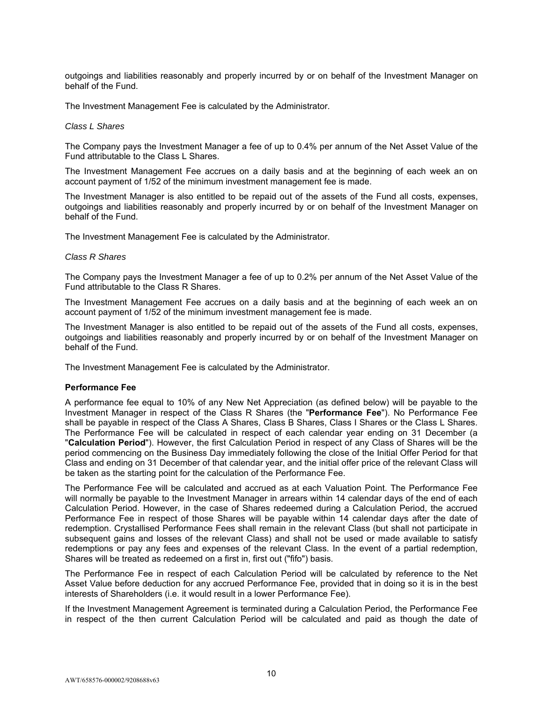outgoings and liabilities reasonably and properly incurred by or on behalf of the Investment Manager on behalf of the Fund.

The Investment Management Fee is calculated by the Administrator.

### *Class L Shares*

The Company pays the Investment Manager a fee of up to 0.4% per annum of the Net Asset Value of the Fund attributable to the Class L Shares.

The Investment Management Fee accrues on a daily basis and at the beginning of each week an on account payment of 1/52 of the minimum investment management fee is made.

The Investment Manager is also entitled to be repaid out of the assets of the Fund all costs, expenses, outgoings and liabilities reasonably and properly incurred by or on behalf of the Investment Manager on behalf of the Fund.

The Investment Management Fee is calculated by the Administrator.

## *Class R Shares*

The Company pays the Investment Manager a fee of up to 0.2% per annum of the Net Asset Value of the Fund attributable to the Class R Shares.

The Investment Management Fee accrues on a daily basis and at the beginning of each week an on account payment of 1/52 of the minimum investment management fee is made.

The Investment Manager is also entitled to be repaid out of the assets of the Fund all costs, expenses, outgoings and liabilities reasonably and properly incurred by or on behalf of the Investment Manager on behalf of the Fund.

The Investment Management Fee is calculated by the Administrator.

## **Performance Fee**

A performance fee equal to 10% of any New Net Appreciation (as defined below) will be payable to the Investment Manager in respect of the Class R Shares (the "**Performance Fee**"). No Performance Fee shall be payable in respect of the Class A Shares, Class B Shares, Class I Shares or the Class L Shares. The Performance Fee will be calculated in respect of each calendar year ending on 31 December (a "**Calculation Period**"). However, the first Calculation Period in respect of any Class of Shares will be the period commencing on the Business Day immediately following the close of the Initial Offer Period for that Class and ending on 31 December of that calendar year, and the initial offer price of the relevant Class will be taken as the starting point for the calculation of the Performance Fee.

The Performance Fee will be calculated and accrued as at each Valuation Point. The Performance Fee will normally be payable to the Investment Manager in arrears within 14 calendar days of the end of each Calculation Period. However, in the case of Shares redeemed during a Calculation Period, the accrued Performance Fee in respect of those Shares will be payable within 14 calendar days after the date of redemption. Crystallised Performance Fees shall remain in the relevant Class (but shall not participate in subsequent gains and losses of the relevant Class) and shall not be used or made available to satisfy redemptions or pay any fees and expenses of the relevant Class. In the event of a partial redemption, Shares will be treated as redeemed on a first in, first out ("fifo") basis.

The Performance Fee in respect of each Calculation Period will be calculated by reference to the Net Asset Value before deduction for any accrued Performance Fee, provided that in doing so it is in the best interests of Shareholders (i.e. it would result in a lower Performance Fee).

If the Investment Management Agreement is terminated during a Calculation Period, the Performance Fee in respect of the then current Calculation Period will be calculated and paid as though the date of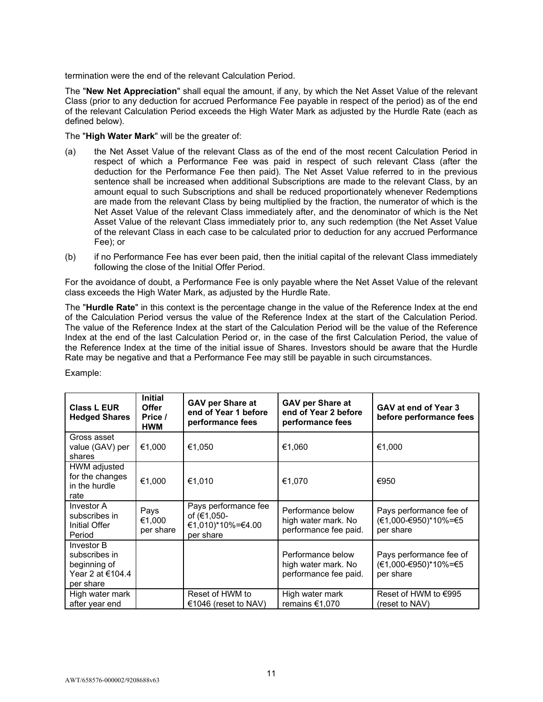termination were the end of the relevant Calculation Period.

The "**New Net Appreciation**" shall equal the amount, if any, by which the Net Asset Value of the relevant Class (prior to any deduction for accrued Performance Fee payable in respect of the period) as of the end of the relevant Calculation Period exceeds the High Water Mark as adjusted by the Hurdle Rate (each as defined below).

The "**High Water Mark**" will be the greater of:

- (a) the Net Asset Value of the relevant Class as of the end of the most recent Calculation Period in respect of which a Performance Fee was paid in respect of such relevant Class (after the deduction for the Performance Fee then paid). The Net Asset Value referred to in the previous sentence shall be increased when additional Subscriptions are made to the relevant Class, by an amount equal to such Subscriptions and shall be reduced proportionately whenever Redemptions are made from the relevant Class by being multiplied by the fraction, the numerator of which is the Net Asset Value of the relevant Class immediately after, and the denominator of which is the Net Asset Value of the relevant Class immediately prior to, any such redemption (the Net Asset Value of the relevant Class in each case to be calculated prior to deduction for any accrued Performance Fee); or
- (b) if no Performance Fee has ever been paid, then the initial capital of the relevant Class immediately following the close of the Initial Offer Period.

For the avoidance of doubt, a Performance Fee is only payable where the Net Asset Value of the relevant class exceeds the High Water Mark, as adjusted by the Hurdle Rate.

The "**Hurdle Rate**" in this context is the percentage change in the value of the Reference Index at the end of the Calculation Period versus the value of the Reference Index at the start of the Calculation Period. The value of the Reference Index at the start of the Calculation Period will be the value of the Reference Index at the end of the last Calculation Period or, in the case of the first Calculation Period, the value of the Reference Index at the time of the initial issue of Shares. Investors should be aware that the Hurdle Rate may be negative and that a Performance Fee may still be payable in such circumstances.

| <b>Class L EUR</b><br><b>Hedged Shares</b>                                   | <b>Initial</b><br><b>Offer</b><br>Price /<br><b>HWM</b> | <b>GAV per Share at</b><br>end of Year 1 before<br>performance fees   | <b>GAV per Share at</b><br>end of Year 2 before<br>performance fees | GAV at end of Year 3<br>before performance fees              |
|------------------------------------------------------------------------------|---------------------------------------------------------|-----------------------------------------------------------------------|---------------------------------------------------------------------|--------------------------------------------------------------|
| Gross asset<br>value (GAV) per<br>shares                                     | €1,000                                                  | €1,050                                                                | €1.060                                                              | €1,000                                                       |
| HWM adjusted<br>for the changes<br>in the hurdle<br>rate                     | €1,000                                                  | €1,010                                                                | €1,070                                                              | €950                                                         |
| Investor A<br>subscribes in<br>Initial Offer<br>Period                       | Pays<br>€1,000<br>per share                             | Pays performance fee<br>of (€1,050-<br>€1,010)*10%=€4.00<br>per share | Performance below<br>high water mark. No<br>performance fee paid.   | Pays performance fee of<br>(€1,000-€950)*10%=€5<br>per share |
| Investor B<br>subscribes in<br>beginning of<br>Year 2 at €104.4<br>per share |                                                         |                                                                       | Performance below<br>high water mark. No<br>performance fee paid.   | Pays performance fee of<br>(€1,000-€950)*10%=€5<br>per share |
| High water mark<br>after year end                                            |                                                         | Reset of HWM to<br>€1046 (reset to NAV)                               | High water mark<br>remains €1,070                                   | Reset of HWM to €995<br>(reset to NAV)                       |

Example: